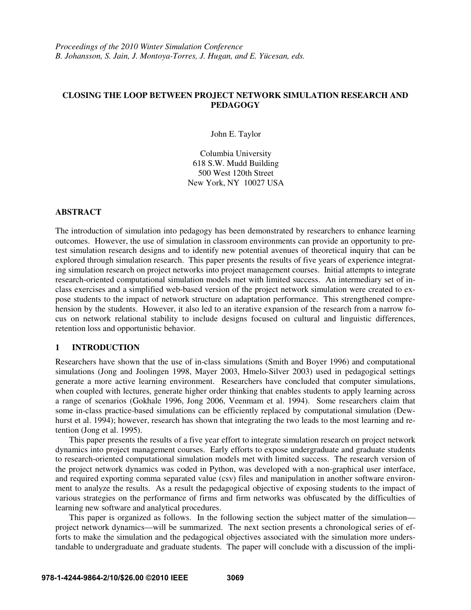# **CLOSING THE LOOP BETWEEN PROJECT NETWORK SIMULATION RESEARCH AND PEDAGOGY**

John E. Taylor

Columbia University 618 S.W. Mudd Building 500 West 120th Street New York, NY 10027 USA

# **ABSTRACT**

The introduction of simulation into pedagogy has been demonstrated by researchers to enhance learning outcomes. However, the use of simulation in classroom environments can provide an opportunity to pretest simulation research designs and to identify new potential avenues of theoretical inquiry that can be explored through simulation research. This paper presents the results of five years of experience integrating simulation research on project networks into project management courses. Initial attempts to integrate research-oriented computational simulation models met with limited success. An intermediary set of inclass exercises and a simplified web-based version of the project network simulation were created to expose students to the impact of network structure on adaptation performance. This strengthened comprehension by the students. However, it also led to an iterative expansion of the research from a narrow focus on network relational stability to include designs focused on cultural and linguistic differences, retention loss and opportunistic behavior.

### **1 INTRODUCTION**

Researchers have shown that the use of in-class simulations (Smith and Boyer 1996) and computational simulations (Jong and Joolingen 1998, Mayer 2003, Hmelo-Silver 2003) used in pedagogical settings generate a more active learning environment. Researchers have concluded that computer simulations, when coupled with lectures, generate higher order thinking that enables students to apply learning across a range of scenarios (Gokhale 1996, Jong 2006, Veenmam et al. 1994). Some researchers claim that some in-class practice-based simulations can be efficiently replaced by computational simulation (Dewhurst et al. 1994); however, research has shown that integrating the two leads to the most learning and retention (Jong et al. 1995).

This paper presents the results of a five year effort to integrate simulation research on project network dynamics into project management courses. Early efforts to expose undergraduate and graduate students to research-oriented computational simulation models met with limited success. The research version of the project network dynamics was coded in Python, was developed with a non-graphical user interface, and required exporting comma separated value (csv) files and manipulation in another software environment to analyze the results. As a result the pedagogical objective of exposing students to the impact of various strategies on the performance of firms and firm networks was obfuscated by the difficulties of learning new software and analytical procedures.

This paper is organized as follows. In the following section the subject matter of the simulation project network dynamics—will be summarized. The next section presents a chronological series of efforts to make the simulation and the pedagogical objectives associated with the simulation more understandable to undergraduate and graduate students. The paper will conclude with a discussion of the impli-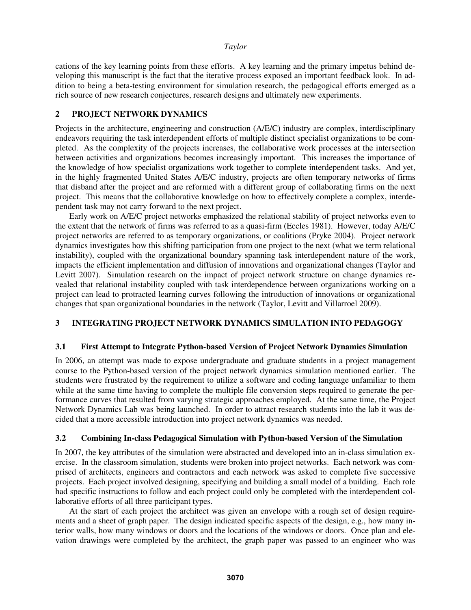cations of the key learning points from these efforts. A key learning and the primary impetus behind developing this manuscript is the fact that the iterative process exposed an important feedback look. In addition to being a beta-testing environment for simulation research, the pedagogical efforts emerged as a rich source of new research conjectures, research designs and ultimately new experiments.

# **2 PROJECT NETWORK DYNAMICS**

Projects in the architecture, engineering and construction (A/E/C) industry are complex, interdisciplinary endeavors requiring the task interdependent efforts of multiple distinct specialist organizations to be completed. As the complexity of the projects increases, the collaborative work processes at the intersection between activities and organizations becomes increasingly important. This increases the importance of the knowledge of how specialist organizations work together to complete interdependent tasks. And yet, in the highly fragmented United States A/E/C industry, projects are often temporary networks of firms that disband after the project and are reformed with a different group of collaborating firms on the next project. This means that the collaborative knowledge on how to effectively complete a complex, interdependent task may not carry forward to the next project.

Early work on A/E/C project networks emphasized the relational stability of project networks even to the extent that the network of firms was referred to as a quasi-firm (Eccles 1981). However, today A/E/C project networks are referred to as temporary organizations, or coalitions (Pryke 2004). Project network dynamics investigates how this shifting participation from one project to the next (what we term relational instability), coupled with the organizational boundary spanning task interdependent nature of the work, impacts the efficient implementation and diffusion of innovations and organizational changes (Taylor and Levitt 2007). Simulation research on the impact of project network structure on change dynamics revealed that relational instability coupled with task interdependence between organizations working on a project can lead to protracted learning curves following the introduction of innovations or organizational changes that span organizational boundaries in the network (Taylor, Levitt and Villarroel 2009).

# **3 INTEGRATING PROJECT NETWORK DYNAMICS SIMULATION INTO PEDAGOGY**

## **3.1 First Attempt to Integrate Python-based Version of Project Network Dynamics Simulation**

In 2006, an attempt was made to expose undergraduate and graduate students in a project management course to the Python-based version of the project network dynamics simulation mentioned earlier. The students were frustrated by the requirement to utilize a software and coding language unfamiliar to them while at the same time having to complete the multiple file conversion steps required to generate the performance curves that resulted from varying strategic approaches employed. At the same time, the Project Network Dynamics Lab was being launched. In order to attract research students into the lab it was decided that a more accessible introduction into project network dynamics was needed.

# **3.2 Combining In-class Pedagogical Simulation with Python-based Version of the Simulation**

In 2007, the key attributes of the simulation were abstracted and developed into an in-class simulation exercise. In the classroom simulation, students were broken into project networks. Each network was comprised of architects, engineers and contractors and each network was asked to complete five successive projects. Each project involved designing, specifying and building a small model of a building. Each role had specific instructions to follow and each project could only be completed with the interdependent collaborative efforts of all three participant types.

At the start of each project the architect was given an envelope with a rough set of design requirements and a sheet of graph paper. The design indicated specific aspects of the design, e.g., how many interior walls, how many windows or doors and the locations of the windows or doors. Once plan and elevation drawings were completed by the architect, the graph paper was passed to an engineer who was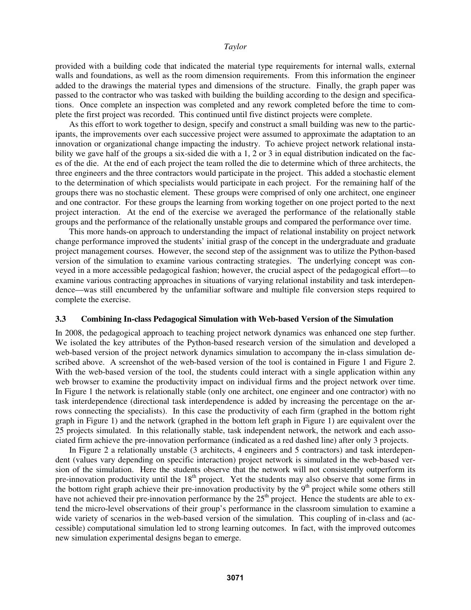provided with a building code that indicated the material type requirements for internal walls, external walls and foundations, as well as the room dimension requirements. From this information the engineer added to the drawings the material types and dimensions of the structure. Finally, the graph paper was passed to the contractor who was tasked with building the building according to the design and specifications. Once complete an inspection was completed and any rework completed before the time to complete the first project was recorded. This continued until five distinct projects were complete.

As this effort to work together to design, specify and construct a small building was new to the participants, the improvements over each successive project were assumed to approximate the adaptation to an innovation or organizational change impacting the industry. To achieve project network relational instability we gave half of the groups a six-sided die with a 1, 2 or 3 in equal distribution indicated on the faces of the die. At the end of each project the team rolled the die to determine which of three architects, the three engineers and the three contractors would participate in the project. This added a stochastic element to the determination of which specialists would participate in each project. For the remaining half of the groups there was no stochastic element. These groups were comprised of only one architect, one engineer and one contractor. For these groups the learning from working together on one project ported to the next project interaction. At the end of the exercise we averaged the performance of the relationally stable groups and the performance of the relationally unstable groups and compared the performance over time.

This more hands-on approach to understanding the impact of relational instability on project network change performance improved the students' initial grasp of the concept in the undergraduate and graduate project management courses. However, the second step of the assignment was to utilize the Python-based version of the simulation to examine various contracting strategies. The underlying concept was conveyed in a more accessible pedagogical fashion; however, the crucial aspect of the pedagogical effort—to examine various contracting approaches in situations of varying relational instability and task interdependence—was still encumbered by the unfamiliar software and multiple file conversion steps required to complete the exercise.

#### **3.3 Combining In-class Pedagogical Simulation with Web-based Version of the Simulation**

In 2008, the pedagogical approach to teaching project network dynamics was enhanced one step further. We isolated the key attributes of the Python-based research version of the simulation and developed a web-based version of the project network dynamics simulation to accompany the in-class simulation described above. A screenshot of the web-based version of the tool is contained in Figure 1 and Figure 2. With the web-based version of the tool, the students could interact with a single application within any web browser to examine the productivity impact on individual firms and the project network over time. In Figure 1 the network is relationally stable (only one architect, one engineer and one contractor) with no task interdependence (directional task interdependence is added by increasing the percentage on the arrows connecting the specialists). In this case the productivity of each firm (graphed in the bottom right graph in Figure 1) and the network (graphed in the bottom left graph in Figure 1) are equivalent over the 25 projects simulated. In this relationally stable, task independent network, the network and each associated firm achieve the pre-innovation performance (indicated as a red dashed line) after only 3 projects.

In Figure 2 a relationally unstable (3 architects, 4 engineers and 5 contractors) and task interdependent (values vary depending on specific interaction) project network is simulated in the web-based version of the simulation. Here the students observe that the network will not consistently outperform its pre-innovation productivity until the 18<sup>th</sup> project. Yet the students may also observe that some firms in the bottom right graph achieve their pre-innovation productivity by the  $9<sup>th</sup>$  project while some others still have not achieved their pre-innovation performance by the  $25<sup>th</sup>$  project. Hence the students are able to extend the micro-level observations of their group's performance in the classroom simulation to examine a wide variety of scenarios in the web-based version of the simulation. This coupling of in-class and (accessible) computational simulation led to strong learning outcomes. In fact, with the improved outcomes new simulation experimental designs began to emerge.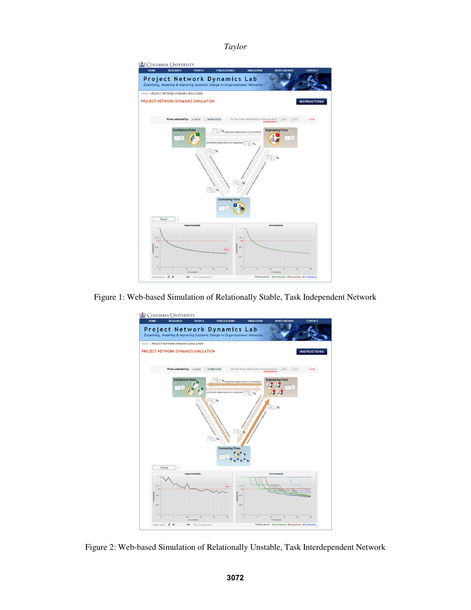

Figure 1: Web-based Simulation of Relationally Stable, Task Independent Network



Figure 2: Web-based Simulation of Relationally Unstable, Task Interdependent Network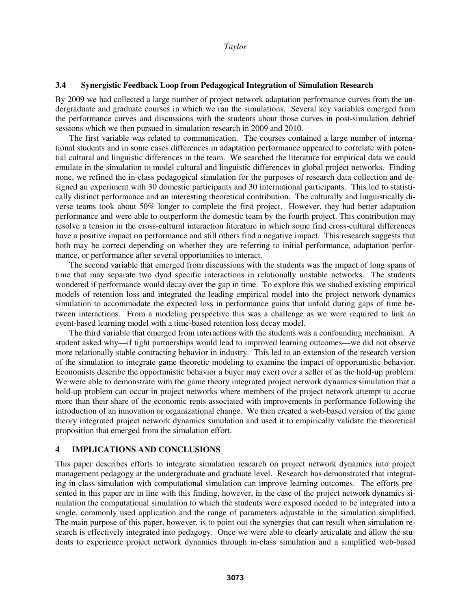## **3.4 Synergistic Feedback Loop from Pedagogical Integration of Simulation Research**

By 2009 we had collected a large number of project network adaptation performance curves from the undergraduate and graduate courses in which we ran the simulations. Several key variables emerged from the performance curves and discussions with the students about those curves in post-simulation debrief sessions which we then pursued in simulation research in 2009 and 2010.

The first variable was related to communication. The courses contained a large number of international students and in some cases differences in adaptation performance appeared to correlate with potential cultural and linguistic differences in the team. We searched the literature for empirical data we could emulate in the simulation to model cultural and linguistic differences in global project networks. Finding none, we refined the in-class pedagogical simulation for the purposes of research data collection and designed an experiment with 30 domestic participants and 30 international participants. This led to statistically distinct performance and an interesting theoretical contribution. The culturally and linguistically diverse teams took about 50% longer to complete the first project. However, they had better adaptation performance and were able to outperform the domestic team by the fourth project. This contribution may resolve a tension in the cross-cultural interaction literature in which some find cross-cultural differences have a positive impact on performance and still others find a negative impact. This research suggests that both may be correct depending on whether they are referring to initial performance, adaptation performance, or performance after several opportunities to interact.

The second variable that emerged from discussions with the students was the impact of long spans of time that may separate two dyad specific interactions in relationally unstable networks. The students wondered if performance would decay over the gap in time. To explore this we studied existing empirical models of retention loss and integrated the leading empirical model into the project network dynamics simulation to accommodate the expected loss in performance gains that unfold during gaps of time between interactions. From a modeling perspective this was a challenge as we were required to link an event-based learning model with a time-based retention loss decay model.

The third variable that emerged from interactions with the students was a confounding mechanism. A student asked why—if tight partnerships would lead to improved learning outcomes—we did not observe more relationally stable contracting behavior in industry. This led to an extension of the research version of the simulation to integrate game theoretic modeling to examine the impact of opportunistic behavior. Economists describe the opportunistic behavior a buyer may exert over a seller of as the hold-up problem. We were able to demonstrate with the game theory integrated project network dynamics simulation that a hold-up problem can occur in project networks where members of the project network attempt to accrue more than their share of the economic rents associated with improvements in performance following the introduction of an innovation or organizational change. We then created a web-based version of the game theory integrated project network dynamics simulation and used it to empirically validate the theoretical proposition that emerged from the simulation effort.

## **4 IMPLICATIONS AND CONCLUSIONS**

This paper describes efforts to integrate simulation research on project network dynamics into project management pedagogy at the undergraduate and graduate level. Research has demonstrated that integrating in-class simulation with computational simulation can improve learning outcomes. The efforts presented in this paper are in line with this finding, however, in the case of the project network dynamics simulation the computational simulation to which the students were exposed needed to be integrated into a single, commonly used application and the range of parameters adjustable in the simulation simplified. The main purpose of this paper, however, is to point out the synergies that can result when simulation research is effectively integrated into pedagogy. Once we were able to clearly articulate and allow the students to experience project network dynamics through in-class simulation and a simplified web-based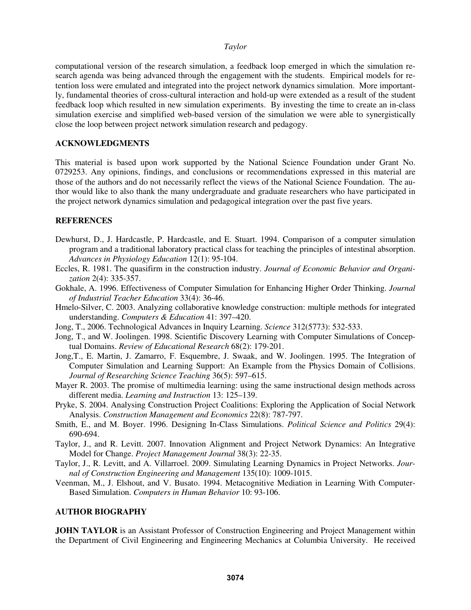computational version of the research simulation, a feedback loop emerged in which the simulation research agenda was being advanced through the engagement with the students. Empirical models for retention loss were emulated and integrated into the project network dynamics simulation. More importantly, fundamental theories of cross-cultural interaction and hold-up were extended as a result of the student feedback loop which resulted in new simulation experiments. By investing the time to create an in-class simulation exercise and simplified web-based version of the simulation we were able to synergistically close the loop between project network simulation research and pedagogy.

## **ACKNOWLEDGMENTS**

This material is based upon work supported by the National Science Foundation under Grant No. 0729253. Any opinions, findings, and conclusions or recommendations expressed in this material are those of the authors and do not necessarily reflect the views of the National Science Foundation. The author would like to also thank the many undergraduate and graduate researchers who have participated in the project network dynamics simulation and pedagogical integration over the past five years.

## **REFERENCES**

- Dewhurst, D., J. Hardcastle, P. Hardcastle, and E. Stuart. 1994. Comparison of a computer simulation program and a traditional laboratory practical class for teaching the principles of intestinal absorption. *Advances in Physiology Education* 12(1): 95-104.
- Eccles, R. 1981. The quasifirm in the construction industry. *Journal of Economic Behavior and Organization* 2(4): 335-357.
- Gokhale, A. 1996. Effectiveness of Computer Simulation for Enhancing Higher Order Thinking. *Journal of Industrial Teacher Education* 33(4): 36-46.
- Hmelo-Silver, C. 2003. Analyzing collaborative knowledge construction: multiple methods for integrated understanding. *Computers & Education* 41: 397–420.
- Jong, T., 2006. Technological Advances in Inquiry Learning. *Science* 312(5773): 532-533.
- Jong, T., and W. Joolingen. 1998. Scientific Discovery Learning with Computer Simulations of Conceptual Domains. *Review of Educational Research* 68(2): 179-201.
- Jong,T., E. Martin, J. Zamarro, F. Esquembre, J. Swaak, and W. Joolingen. 1995. The Integration of Computer Simulation and Learning Support: An Example from the Physics Domain of Collisions. *Journal of Researching Science Teaching* 36(5): 597–615.
- Mayer R. 2003. The promise of multimedia learning: using the same instructional design methods across different media. *Learning and Instruction* 13: 125–139.
- Pryke, S. 2004. Analysing Construction Project Coalitions: Exploring the Application of Social Network Analysis. *Construction Management and Economics* 22(8): 787-797.
- Smith, E., and M. Boyer. 1996. Designing In-Class Simulations. *Political Science and Politics* 29(4): 690-694.
- Taylor, J., and R. Levitt. 2007. Innovation Alignment and Project Network Dynamics: An Integrative Model for Change. *Project Management Journal* 38(3): 22-35.
- Taylor, J., R. Levitt, and A. Villarroel. 2009. Simulating Learning Dynamics in Project Networks. *Journal of Construction Engineering and Management* 135(10): 1009-1015.
- Veenman, M., J. Elshout, and V. Busato. 1994. Metacognitive Mediation in Learning With Computer-Based Simulation. *Computers in Human Behavior* 10: 93-106.

### **AUTHOR BIOGRAPHY**

**JOHN TAYLOR** is an Assistant Professor of Construction Engineering and Project Management within the Department of Civil Engineering and Engineering Mechanics at Columbia University. He received